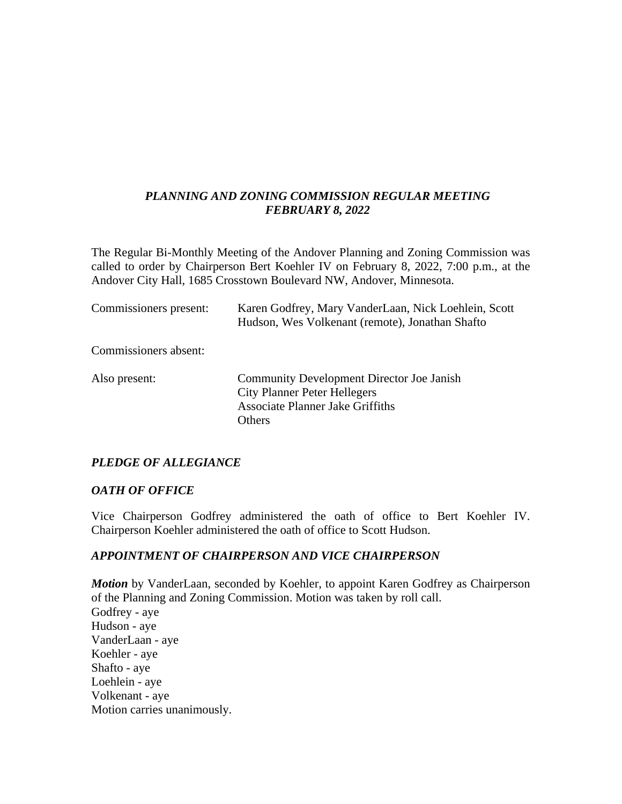# *PLANNING AND ZONING COMMISSION REGULAR MEETING FEBRUARY 8, 2022*

The Regular Bi-Monthly Meeting of the Andover Planning and Zoning Commission was called to order by Chairperson Bert Koehler IV on February 8, 2022, 7:00 p.m., at the Andover City Hall, 1685 Crosstown Boulevard NW, Andover, Minnesota.

| Commissioners present: | Karen Godfrey, Mary VanderLaan, Nick Loehlein, Scott<br>Hudson, Wes Volkenant (remote), Jonathan Shafto                                      |
|------------------------|----------------------------------------------------------------------------------------------------------------------------------------------|
| Commissioners absent:  |                                                                                                                                              |
| Also present:          | <b>Community Development Director Joe Janish</b><br><b>City Planner Peter Hellegers</b><br><b>Associate Planner Jake Griffiths</b><br>Others |

# *PLEDGE OF ALLEGIANCE*

#### *OATH OF OFFICE*

Vice Chairperson Godfrey administered the oath of office to Bert Koehler IV. Chairperson Koehler administered the oath of office to Scott Hudson.

### *APPOINTMENT OF CHAIRPERSON AND VICE CHAIRPERSON*

*Motion* by VanderLaan, seconded by Koehler, to appoint Karen Godfrey as Chairperson of the Planning and Zoning Commission. Motion was taken by roll call. Godfrey - aye Hudson - aye VanderLaan - aye Koehler - aye Shafto - aye Loehlein - aye Volkenant - aye Motion carries unanimously.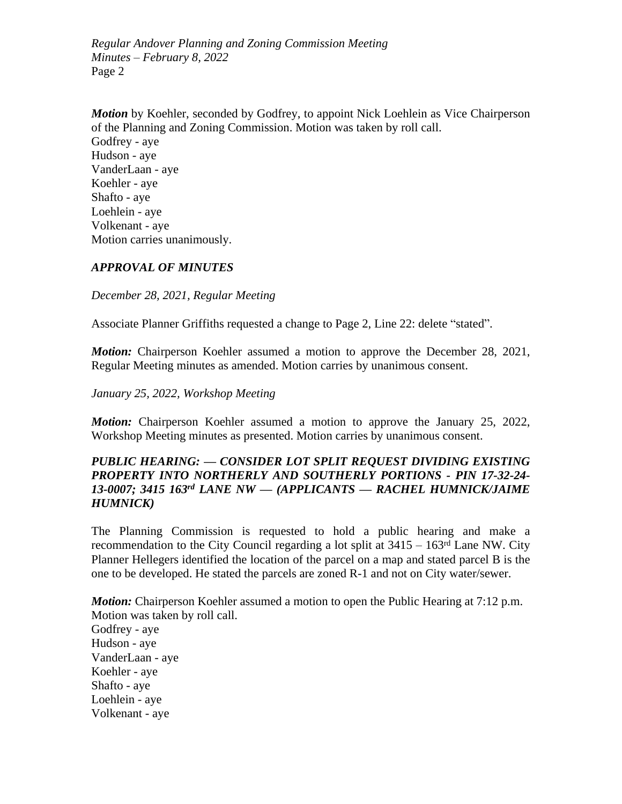*Motion* by Koehler, seconded by Godfrey, to appoint Nick Loehlein as Vice Chairperson of the Planning and Zoning Commission. Motion was taken by roll call. Godfrey - aye Hudson - aye VanderLaan - aye Koehler - aye Shafto - aye Loehlein - aye Volkenant - aye Motion carries unanimously.

### *APPROVAL OF MINUTES*

*December 28, 2021, Regular Meeting*

Associate Planner Griffiths requested a change to Page 2, Line 22: delete "stated".

*Motion:* Chairperson Koehler assumed a motion to approve the December 28, 2021, Regular Meeting minutes as amended. Motion carries by unanimous consent.

*January 25, 2022, Workshop Meeting*

*Motion:* Chairperson Koehler assumed a motion to approve the January 25, 2022, Workshop Meeting minutes as presented. Motion carries by unanimous consent.

## *PUBLIC HEARING: — CONSIDER LOT SPLIT REQUEST DIVIDING EXISTING PROPERTY INTO NORTHERLY AND SOUTHERLY PORTIONS - PIN 17-32-24- 13-0007; 3415 163rd LANE NW — (APPLICANTS — RACHEL HUMNICK/JAIME HUMNICK)*

The Planning Commission is requested to hold a public hearing and make a recommendation to the City Council regarding a lot split at  $3415 - 163<sup>rd</sup>$  Lane NW. City Planner Hellegers identified the location of the parcel on a map and stated parcel B is the one to be developed. He stated the parcels are zoned R-1 and not on City water/sewer.

*Motion:* Chairperson Koehler assumed a motion to open the Public Hearing at 7:12 p.m. Motion was taken by roll call. Godfrey - aye Hudson - aye VanderLaan - aye Koehler - aye Shafto - aye Loehlein - aye Volkenant - aye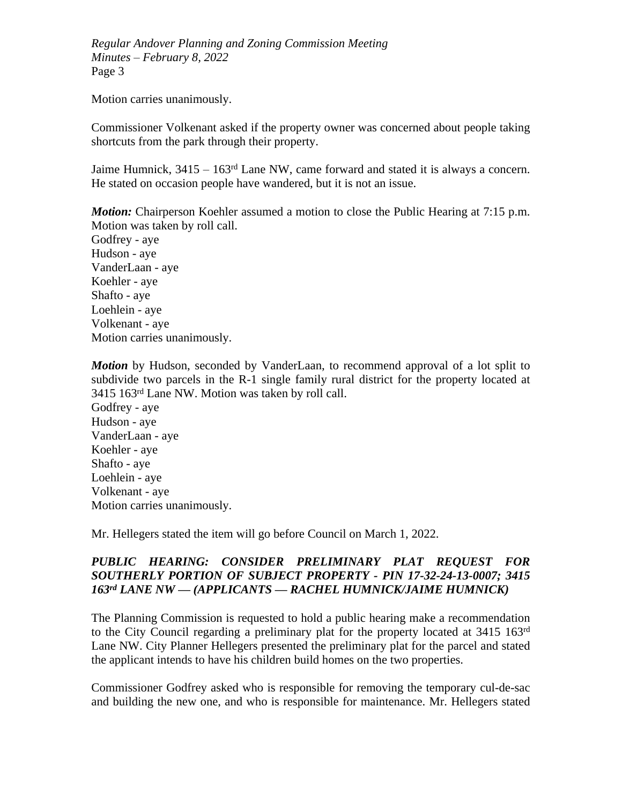Motion carries unanimously.

Commissioner Volkenant asked if the property owner was concerned about people taking shortcuts from the park through their property.

Jaime Humnick,  $3415 - 163^{rd}$  Lane NW, came forward and stated it is always a concern. He stated on occasion people have wandered, but it is not an issue.

*Motion:* Chairperson Koehler assumed a motion to close the Public Hearing at 7:15 p.m. Motion was taken by roll call.

Godfrey - aye Hudson - aye VanderLaan - aye Koehler - aye Shafto - aye Loehlein - aye Volkenant - aye Motion carries unanimously.

*Motion* by Hudson, seconded by VanderLaan, to recommend approval of a lot split to subdivide two parcels in the R-1 single family rural district for the property located at 3415 163rd Lane NW. Motion was taken by roll call.

Godfrey - aye Hudson - aye VanderLaan - aye Koehler - aye Shafto - aye Loehlein - aye Volkenant - aye Motion carries unanimously.

Mr. Hellegers stated the item will go before Council on March 1, 2022.

# *PUBLIC HEARING: CONSIDER PRELIMINARY PLAT REQUEST FOR SOUTHERLY PORTION OF SUBJECT PROPERTY - PIN 17-32-24-13-0007; 3415 163rd LANE NW — (APPLICANTS — RACHEL HUMNICK/JAIME HUMNICK)*

The Planning Commission is requested to hold a public hearing make a recommendation to the City Council regarding a preliminary plat for the property located at 3415 163rd Lane NW. City Planner Hellegers presented the preliminary plat for the parcel and stated the applicant intends to have his children build homes on the two properties.

Commissioner Godfrey asked who is responsible for removing the temporary cul-de-sac and building the new one, and who is responsible for maintenance. Mr. Hellegers stated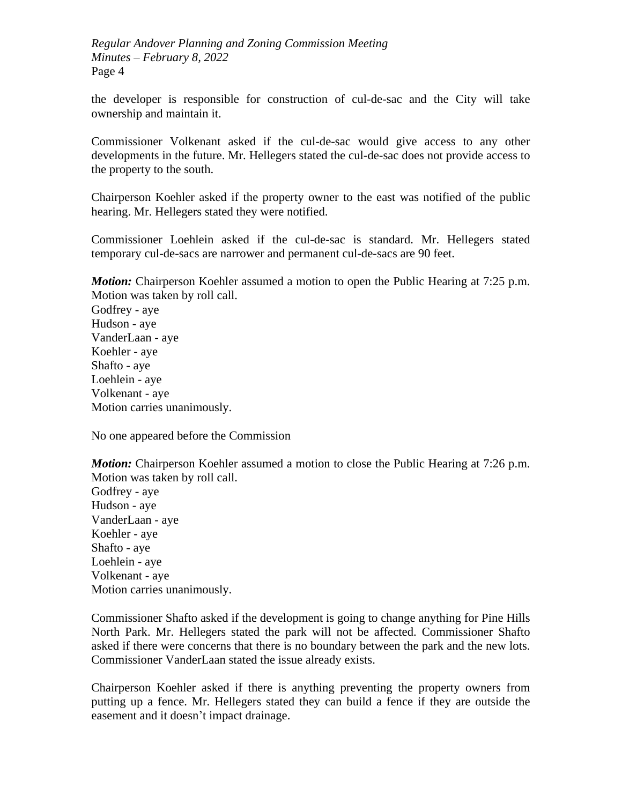the developer is responsible for construction of cul-de-sac and the City will take ownership and maintain it.

Commissioner Volkenant asked if the cul-de-sac would give access to any other developments in the future. Mr. Hellegers stated the cul-de-sac does not provide access to the property to the south.

Chairperson Koehler asked if the property owner to the east was notified of the public hearing. Mr. Hellegers stated they were notified.

Commissioner Loehlein asked if the cul-de-sac is standard. Mr. Hellegers stated temporary cul-de-sacs are narrower and permanent cul-de-sacs are 90 feet.

*Motion:* Chairperson Koehler assumed a motion to open the Public Hearing at 7:25 p.m. Motion was taken by roll call.

Godfrey - aye Hudson - aye VanderLaan - aye Koehler - aye Shafto - aye Loehlein - aye Volkenant - aye Motion carries unanimously.

No one appeared before the Commission

*Motion:* Chairperson Koehler assumed a motion to close the Public Hearing at 7:26 p.m. Motion was taken by roll call.

Godfrey - aye Hudson - aye VanderLaan - aye Koehler - aye Shafto - aye Loehlein - aye Volkenant - aye Motion carries unanimously.

Commissioner Shafto asked if the development is going to change anything for Pine Hills North Park. Mr. Hellegers stated the park will not be affected. Commissioner Shafto asked if there were concerns that there is no boundary between the park and the new lots. Commissioner VanderLaan stated the issue already exists.

Chairperson Koehler asked if there is anything preventing the property owners from putting up a fence. Mr. Hellegers stated they can build a fence if they are outside the easement and it doesn't impact drainage.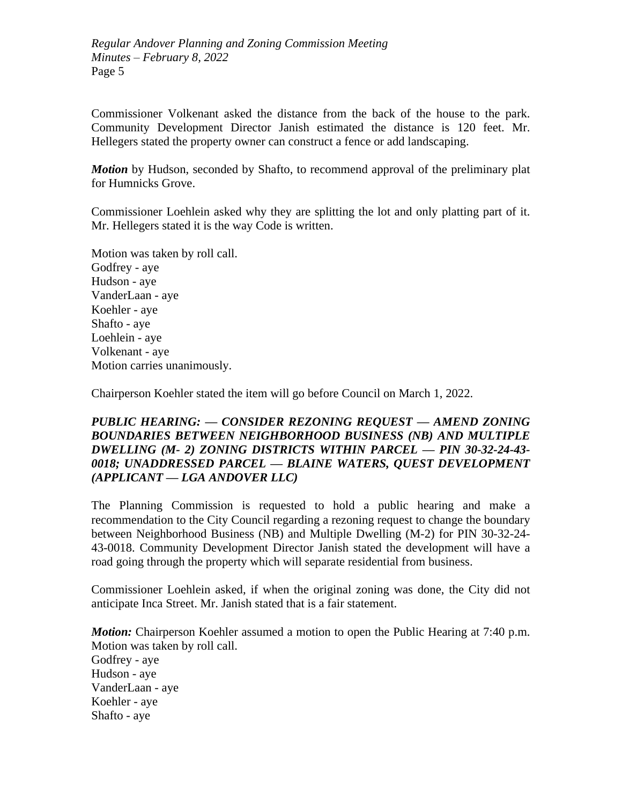Commissioner Volkenant asked the distance from the back of the house to the park. Community Development Director Janish estimated the distance is 120 feet. Mr. Hellegers stated the property owner can construct a fence or add landscaping.

*Motion* by Hudson, seconded by Shafto, to recommend approval of the preliminary plat for Humnicks Grove.

Commissioner Loehlein asked why they are splitting the lot and only platting part of it. Mr. Hellegers stated it is the way Code is written.

Motion was taken by roll call. Godfrey - aye Hudson - aye VanderLaan - aye Koehler - aye Shafto - aye Loehlein - aye Volkenant - aye Motion carries unanimously.

Chairperson Koehler stated the item will go before Council on March 1, 2022.

## *PUBLIC HEARING: — CONSIDER REZONING REQUEST — AMEND ZONING BOUNDARIES BETWEEN NEIGHBORHOOD BUSINESS (NB) AND MULTIPLE DWELLING (M- 2) ZONING DISTRICTS WITHIN PARCEL — PIN 30-32-24-43- 0018; UNADDRESSED PARCEL — BLAINE WATERS, QUEST DEVELOPMENT (APPLICANT — LGA ANDOVER LLC)*

The Planning Commission is requested to hold a public hearing and make a recommendation to the City Council regarding a rezoning request to change the boundary between Neighborhood Business (NB) and Multiple Dwelling (M-2) for PIN 30-32-24- 43-0018. Community Development Director Janish stated the development will have a road going through the property which will separate residential from business.

Commissioner Loehlein asked, if when the original zoning was done, the City did not anticipate Inca Street. Mr. Janish stated that is a fair statement.

*Motion:* Chairperson Koehler assumed a motion to open the Public Hearing at 7:40 p.m. Motion was taken by roll call.

Godfrey - aye Hudson - aye VanderLaan - aye Koehler - aye Shafto - aye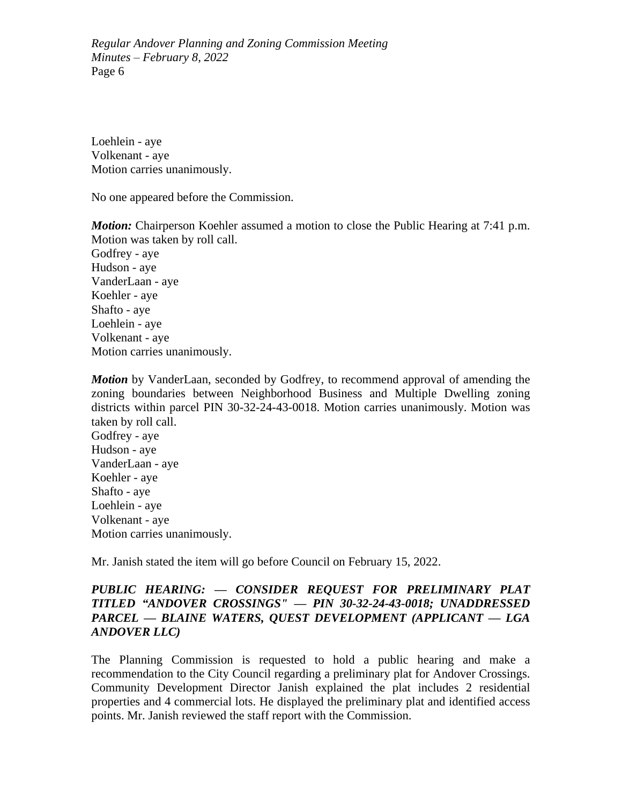Loehlein - aye Volkenant - aye Motion carries unanimously.

No one appeared before the Commission.

*Motion:* Chairperson Koehler assumed a motion to close the Public Hearing at 7:41 p.m. Motion was taken by roll call.

Godfrey - aye Hudson - aye VanderLaan - aye Koehler - aye Shafto - aye Loehlein - aye Volkenant - aye Motion carries unanimously.

*Motion* by VanderLaan, seconded by Godfrey, to recommend approval of amending the zoning boundaries between Neighborhood Business and Multiple Dwelling zoning districts within parcel PIN 30-32-24-43-0018. Motion carries unanimously. Motion was taken by roll call. Godfrey - aye Hudson - aye VanderLaan - aye Koehler - aye Shafto - aye Loehlein - aye Volkenant - aye Motion carries unanimously.

Mr. Janish stated the item will go before Council on February 15, 2022.

# *PUBLIC HEARING: — CONSIDER REQUEST FOR PRELIMINARY PLAT TITLED "ANDOVER CROSSINGS" — PIN 30-32-24-43-0018; UNADDRESSED PARCEL — BLAINE WATERS, QUEST DEVELOPMENT (APPLICANT — LGA ANDOVER LLC)*

The Planning Commission is requested to hold a public hearing and make a recommendation to the City Council regarding a preliminary plat for Andover Crossings. Community Development Director Janish explained the plat includes 2 residential properties and 4 commercial lots. He displayed the preliminary plat and identified access points. Mr. Janish reviewed the staff report with the Commission.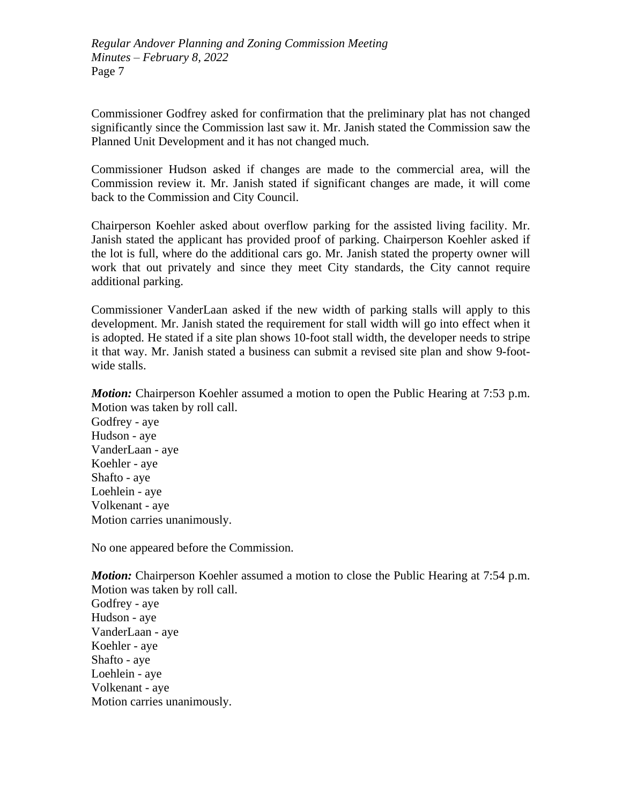Commissioner Godfrey asked for confirmation that the preliminary plat has not changed significantly since the Commission last saw it. Mr. Janish stated the Commission saw the Planned Unit Development and it has not changed much.

Commissioner Hudson asked if changes are made to the commercial area, will the Commission review it. Mr. Janish stated if significant changes are made, it will come back to the Commission and City Council.

Chairperson Koehler asked about overflow parking for the assisted living facility. Mr. Janish stated the applicant has provided proof of parking. Chairperson Koehler asked if the lot is full, where do the additional cars go. Mr. Janish stated the property owner will work that out privately and since they meet City standards, the City cannot require additional parking.

Commissioner VanderLaan asked if the new width of parking stalls will apply to this development. Mr. Janish stated the requirement for stall width will go into effect when it is adopted. He stated if a site plan shows 10-foot stall width, the developer needs to stripe it that way. Mr. Janish stated a business can submit a revised site plan and show 9-footwide stalls.

*Motion:* Chairperson Koehler assumed a motion to open the Public Hearing at 7:53 p.m. Motion was taken by roll call.

Godfrey - aye Hudson - aye VanderLaan - aye Koehler - aye Shafto - aye Loehlein - aye Volkenant - aye Motion carries unanimously.

No one appeared before the Commission.

*Motion:* Chairperson Koehler assumed a motion to close the Public Hearing at 7:54 p.m. Motion was taken by roll call. Godfrey - aye Hudson - aye VanderLaan - aye Koehler - aye Shafto - aye Loehlein - aye Volkenant - aye Motion carries unanimously.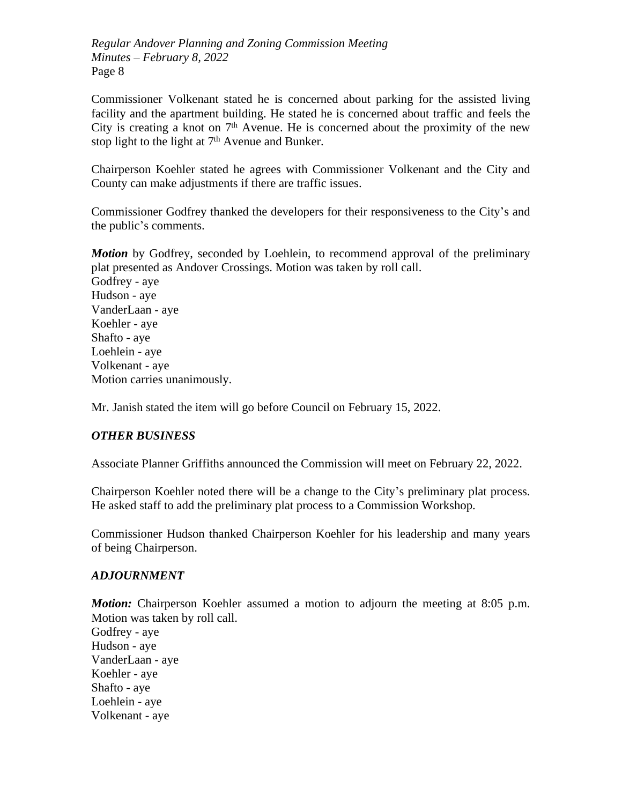Commissioner Volkenant stated he is concerned about parking for the assisted living facility and the apartment building. He stated he is concerned about traffic and feels the City is creating a knot on  $7<sup>th</sup>$  Avenue. He is concerned about the proximity of the new stop light to the light at 7<sup>th</sup> Avenue and Bunker.

Chairperson Koehler stated he agrees with Commissioner Volkenant and the City and County can make adjustments if there are traffic issues.

Commissioner Godfrey thanked the developers for their responsiveness to the City's and the public's comments.

*Motion* by Godfrey, seconded by Loehlein, to recommend approval of the preliminary plat presented as Andover Crossings. Motion was taken by roll call.

Godfrey - aye Hudson - aye VanderLaan - aye Koehler - aye Shafto - aye Loehlein - aye Volkenant - aye Motion carries unanimously.

Mr. Janish stated the item will go before Council on February 15, 2022.

# *OTHER BUSINESS*

Associate Planner Griffiths announced the Commission will meet on February 22, 2022.

Chairperson Koehler noted there will be a change to the City's preliminary plat process. He asked staff to add the preliminary plat process to a Commission Workshop.

Commissioner Hudson thanked Chairperson Koehler for his leadership and many years of being Chairperson.

### *ADJOURNMENT*

*Motion:* Chairperson Koehler assumed a motion to adjourn the meeting at 8:05 p.m. Motion was taken by roll call.

Godfrey - aye Hudson - aye VanderLaan - aye Koehler - aye Shafto - aye Loehlein - aye Volkenant - aye